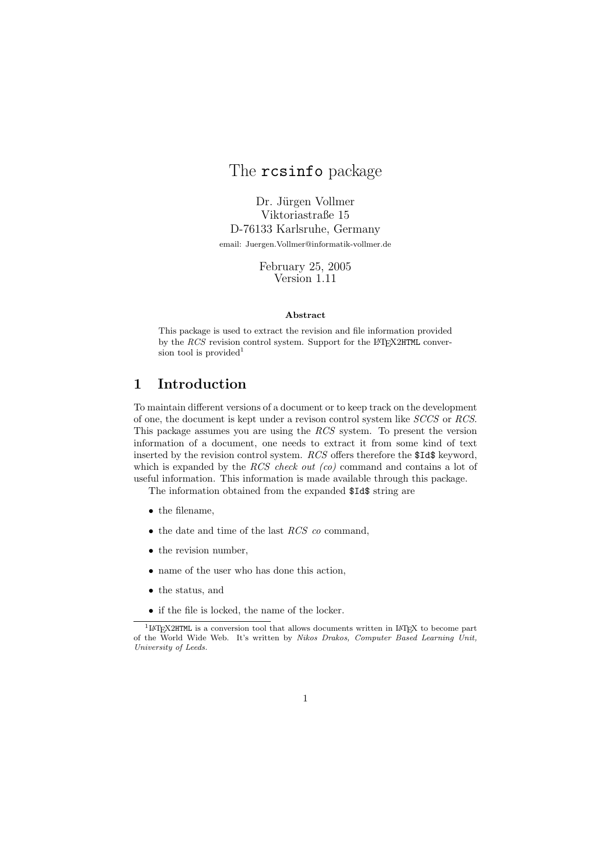# The rcsinfo package

Dr. Jürgen Vollmer Viktoriastraße 15 D-76133 Karlsruhe, Germany email: Juergen.Vollmer@informatik-vollmer.de

> February 25, 2005 Version 1.11

#### Abstract

This package is used to extract the revision and file information provided by the  $RCS$  revision control system. Support for the LAT<sub>EX2</sub>HTML conversion tool is provided<sup>1</sup>

## 1 Introduction

To maintain different versions of a document or to keep track on the development of one, the document is kept under a revison control system like SCCS or RCS. This package assumes you are using the RCS system. To present the version information of a document, one needs to extract it from some kind of text inserted by the revision control system. RCS offers therefore the \$Id\$ keyword, which is expanded by the RCS check out  $(co)$  command and contains a lot of useful information. This information is made available through this package.

The information obtained from the expanded \$Id\$ string are

- the filename,
- $\bullet$  the date and time of the last  $RCS$  co command,
- the revision number.
- name of the user who has done this action,
- the status, and
- if the file is locked, the name of the locker.

<sup>&</sup>lt;sup>1</sup>LAT<sub>E</sub>X2HTML is a conversion tool that allows documents written in LAT<sub>E</sub>X to become part of the World Wide Web. It's written by Nikos Drakos, Computer Based Learning Unit, University of Leeds.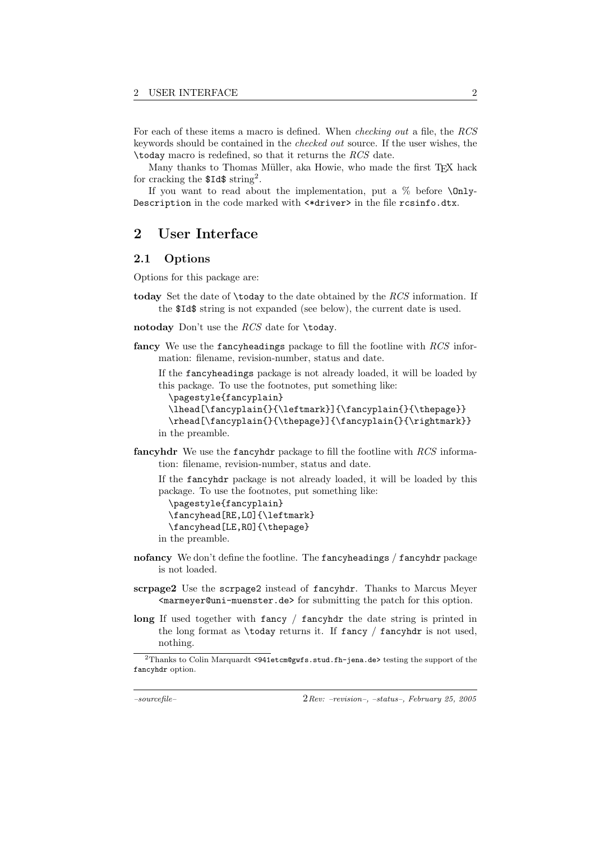For each of these items a macro is defined. When checking out a file, the RCS keywords should be contained in the checked out source. If the user wishes, the \today macro is redefined, so that it returns the RCS date.

Many thanks to Thomas Müller, aka Howie, who made the first TEX hack for cracking the  $Id$ \$ string<sup>2</sup>.

If you want to read about the implementation, put a  $\%$  before  $\Omega$ nly-Description in the code marked with <\*driver> in the file rcsinfo.dtx.

## 2 User Interface

#### 2.1 Options

Options for this package are:

today Set the date of \today to the date obtained by the RCS information. If the \$Id\$ string is not expanded (see below), the current date is used.

notoday Don't use the RCS date for \today.

fancy We use the fancyheadings package to fill the footline with  $RCS$  information: filename, revision-number, status and date.

If the fancyheadings package is not already loaded, it will be loaded by this package. To use the footnotes, put something like:

```
\pagestyle{fancyplain}
  \lhead[\fancyplain{}{\leftmark}]{\fancyplain{}{\thepage}}
  \rhead[\fancyplain{}{\thepage}]{\fancyplain{}{\rightmark}}
in the preamble.
```
fancyhdr We use the fancyhdr package to fill the footline with RCS information: filename, revision-number, status and date.

If the fancyhdr package is not already loaded, it will be loaded by this package. To use the footnotes, put something like:

\pagestyle{fancyplain} \fancyhead[RE,LO]{\leftmark} \fancyhead[LE,RO]{\thepage}

in the preamble.

- nofancy We don't define the footline. The fancyheadings / fancyhdr package is not loaded.
- scrpage2 Use the scrpage2 instead of fancyhdr. Thanks to Marcus Meyer <marmeyer@uni-muenster.de> for submitting the patch for this option.
- long If used together with fancy / fancyhdr the date string is printed in the long format as  $\cdot$  today returns it. If fancy / fancyhdr is not used, nothing.

<sup>2</sup>Thanks to Colin Marquardt <941etcm@gwfs.stud.fh-jena.de> testing the support of the fancyhdr option.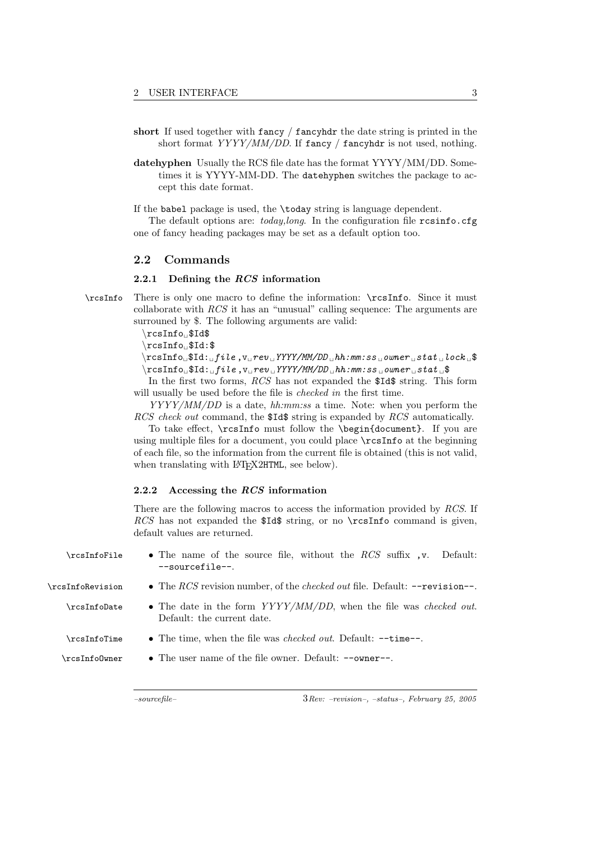- short If used together with fancy / fancyhdr the date string is printed in the short format  $YYYY/MM/DD$ . If fancy / fancyhdr is not used, nothing.
- datehyphen Usually the RCS file date has the format YYYY/MM/DD. Sometimes it is YYYY-MM-DD. The datehyphen switches the package to accept this date format.

If the babel package is used, the \today string is language dependent.

The default options are: today, long. In the configuration file  $\tau$ csinfo.cfg one of fancy heading packages may be set as a default option too.

#### 2.2 Commands

#### 2.2.1 Defining the RCS information

\rcsInfo There is only one macro to define the information: \rcsInfo. Since it must collaborate with RCS it has an "unusual" calling sequence: The arguments are surrouned by \$. The following arguments are valid:

 $\rcsInfo$ <sub>1951</sub>

\rcsInfo<sub>t</sub>\$Id:\$

 $\{\r \text{resInfo}_\text{u$Id:}_\text{u$file,}_\text{v$u$rev$}_\text{v$YWY/MM/DD$}_\text{u$hh:mm:ss$}_\text{v$urer$}_\text{u$stat$}_\text{u$lock$}_\text{u$}$  $\texttt{rcsInfo}$ <sub>u</sub>\$Id:<sub>u</sub>file,v<sub>u</sub>rev tYYYY/MM/DD thh:mm:ss towner tstat t\$

In the first two forms, RCS has not expanded the \$Id\$ string. This form will usually be used before the file is *checked in* the first time.

YYYY/MM/DD is a date, hh:mm:ss a time. Note: when you perform the RCS check out command, the \$1d\$ string is expanded by RCS automatically.

To take effect, \rcsInfo must follow the \begin{document}. If you are using multiple files for a document, you could place \rcsInfo at the beginning of each file, so the information from the current file is obtained (this is not valid, when translating with LAT<sub>E</sub>X2HTML, see below).

#### 2.2.2 Accessing the RCS information

There are the following macros to access the information provided by RCS. If RCS has not expanded the  $Ids$  string, or no \rcsInfo command is given, default values are returned.

| <b>\rcsInfoFile</b> | • The name of the source file, without the $RCS$ suffix , v. Default:<br>$--sourcefile--$                  |
|---------------------|------------------------------------------------------------------------------------------------------------|
| \rcsInfoRevision    | • The RCS revision number, of the <i>checked out</i> file. Default: $\text{-revision--}.$                  |
| \rcsInfoDate        | • The date in the form $YYYY/MM/DD$ , when the file was <i>checked out</i> .<br>Default: the current date. |
| \rcsInfoTime        | • The time, when the file was <i>checked out</i> . Default: $-\text{time}$ .                               |
| \rcsInfo0wner       | • The user name of the file owner. Default: $--$ owner--.                                                  |
|                     |                                                                                                            |

 $-sourcefile$  and  $3Rev: -revision-, -status-, February 25, 2005$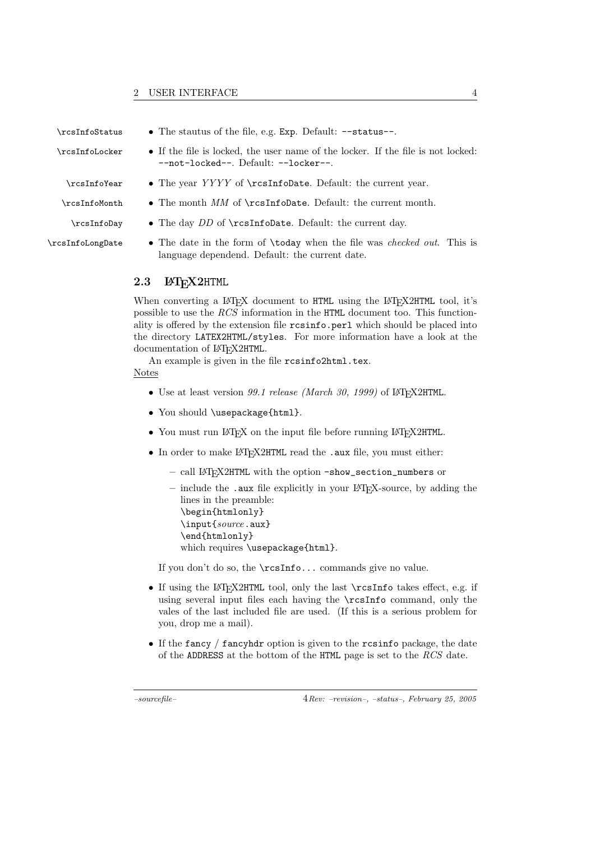- 
- 

- \rcsInfoStatus The stautus of the file, e.g. Exp. Default: --status--.
- \rcsInfoLocker If the file is locked, the user name of the locker. If the file is not locked: --not-locked--. Default: --locker--.
	- \rcsInfoYear The year YYYY of \rcsInfoDate. Default: the current year.
- $\cosh$  The month MM of  $\cosh$  Default: the current month.
	- \rcsInfoDay The day DD of \rcsInfoDate. Default: the current day.
- \rcsInfoLongDate The date in the form of \today when the file was checked out. This is language dependend. Default: the current date.

#### 2.3 LAT<sub>E</sub>X2HTML

When converting a LAT<sub>EX</sub> document to HTML using the LAT<sub>EX2</sub>HTML tool, it's possible to use the RCS information in the HTML document too. This functionality is offered by the extension file resinfo.perl which should be placed into the directory LATEX2HTML/styles. For more information have a look at the documentation of LAT<sub>E</sub>X2HTML.

An example is given in the file rcsinfo2html.tex.

### Notes

- Use at least version 99.1 release (March 30, 1999) of LAT<sub>E</sub>X2HTML.
- You should \usepackage{html}.
- You must run LAT<sub>EX</sub> on the input file before running LAT<sub>EX</sub>2HTML.
- In order to make LATFX2HTML read the .aux file, you must either:
	- call LATEX2HTML with the option -show\_section\_numbers or
	- $-$  include the .aux file explicitly in your LAT<sub>EX</sub>-source, by adding the lines in the preamble: \begin{htmlonly} \input{source.aux} \end{htmlonly} which requires \usepackage{html}.

If you don't do so, the \rcsInfo... commands give no value.

- If using the LAT<sub>E</sub>X2HTML tool, only the last  $\rctan f$  takes effect, e.g. if using several input files each having the \rcsInfo command, only the vales of the last included file are used. (If this is a serious problem for you, drop me a mail).
- If the fancy / fancyhdr option is given to the resinfo package, the date of the ADDRESS at the bottom of the HTML page is set to the RCS date.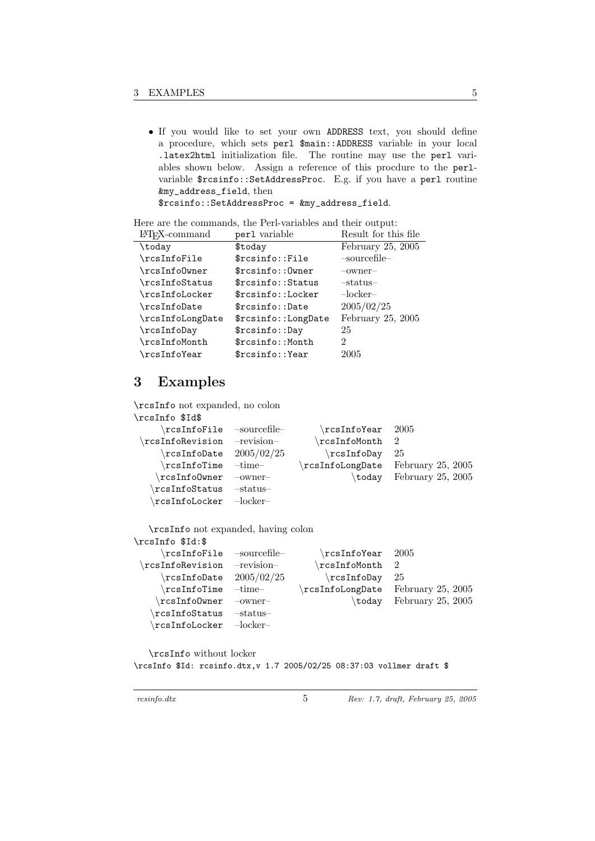• If you would like to set your own ADDRESS text, you should define a procedure, which sets perl \$main::ADDRESS variable in your local .latex2html initialization file. The routine may use the perl variables shown below. Assign a reference of this procdure to the perlvariable \$rcsinfo::SetAddressProc. E.g. if you have a perl routine &my\_address\_field, then \$rcsinfo::SetAddressProc = &my\_address\_field.

Here are the commands, the Perl-variables and their output:

| $IAT$ <sub>F</sub> X-command | perl variable       | Result for this file |
|------------------------------|---------------------|----------------------|
| \today                       | \$today             | February $25, 2005$  |
| \rcsInfoFile                 | \$rcsinfo::File     | -sourcefile-         |
| \rcsInfo0wner                | \$rcsinfo:: Owner   | $-$ owner $-$        |
| \rcsInfoStatus               | \$rcsinfo:: Status  | $-$ status $-$       |
| \rcsInfoLocker               | \$rcsinfo::Locker   | $-$ locker $-$       |
| \rcsInfoDate                 | \$rcsinfo::Date     | 2005/02/25           |
| \rcsInfoLongDate             | \$rcsinfo::LongDate | February 25, 2005    |
| \rcsInfoDay                  | \$rcsinfo::Day      | 25                   |
| \rcsInfoMonth                | \$rcsinfo:: Month   | 2                    |
| $\verb \rcosInfoYear $       | \$rcsinfo::Year     | 2005                 |

## 3 Examples

\rcsInfo not expanded, no colon

| \rcsInfo \$Id\$                      |               |                 |                   |
|--------------------------------------|---------------|-----------------|-------------------|
| $\chi$ rcsInfoFile -sourcefile-      |               | rcsInfoYear     | -2005             |
| rcsInfoRevision                      | -revision-    | rcsInfoMonth\   | -9.               |
| $\verb \rcosInfollate $              | 2005/02/25    | \rcsInfoDay     | 25                |
| $\verb \rcosInfoTime $               | $-$ time $-$  | rcsInfoLongDate | February 25, 2005 |
| rcsInfoOwner\                        | $-$ owner $-$ | \today          | February 25, 2005 |
| rcsInfoStatus                        | -status-      |                 |                   |
| $\chi$ rcsInfoLocker - $\rm{locker}$ |               |                 |                   |

\rcsInfo not expanded, having colon

| \rcsInfo \$Id:\$                     |               |                             |                   |
|--------------------------------------|---------------|-----------------------------|-------------------|
| $\verb \rcosInfoFile -sourcefile-$   |               | rcsInfoYear                 | -2005             |
| rcsInfoRevision                      | -revision-    | \rcsInfoMonth               | - 2               |
| $rcsInfoDate$ 2005/02/25             |               | rcsInfoDay                  | 25                |
| $\verb \rcosInfoTime $               | -time-        | rcsInfoLongDate             | February 25, 2005 |
| rcsInfoOwner\                        | $-$ owner $-$ | $\mathrm{\backslash today}$ | February 25, 2005 |
| rcsInfoStatus                        | -status-      |                             |                   |
| $\chi$ rcsInfoLocker - $\rm{locker}$ |               |                             |                   |

\rcsInfo without locker

\rcsInfo \$Id: rcsinfo.dtx,v 1.7 2005/02/25 08:37:03 vollmer draft \$